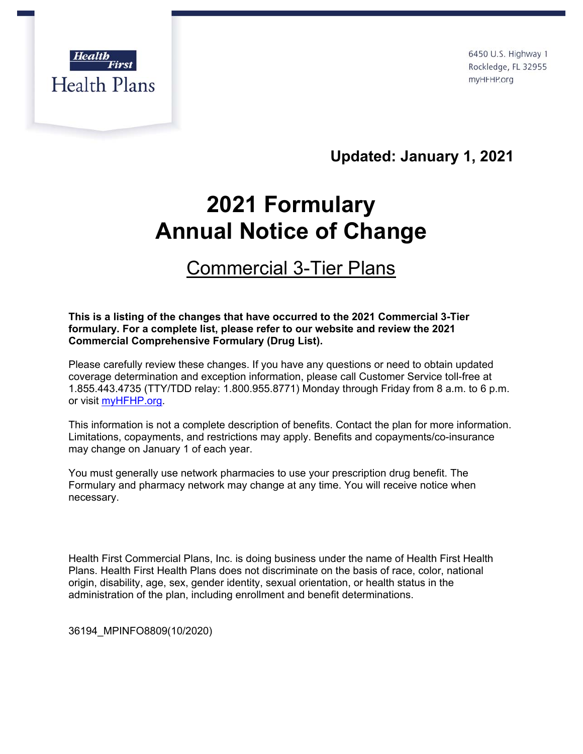

6450 U.S. Highway 1 Rockledge, FL 32955 myHFHP.org

**Updated: January 1, 2021**

## **2021 Formulary Annual Notice of Change**

## Commercial 3-Tier Plans

## **This is a listing of the changes that have occurred to the 2021 Commercial 3-Tier formulary. For a complete list, please refer to our website and review the 2021 Commercial Comprehensive Formulary (Drug List).**

Please carefully review these changes. If you have any questions or need to obtain updated coverage determination and exception information, please call Customer Service toll-free at 1.855.443.4735 (TTY/TDD relay: 1.800.955.8771) Monday through Friday from 8 a.m. to 6 p.m. or visit myHFHP.org.

This information is not a complete description of benefits. Contact the plan for more information. Limitations, copayments, and restrictions may apply. Benefits and copayments/co-insurance may change on January 1 of each year.

You must generally use network pharmacies to use your prescription drug benefit. The Formulary and pharmacy network may change at any time. You will receive notice when necessary.

Health First Commercial Plans, Inc. is doing business under the name of Health First Health Plans. Health First Health Plans does not discriminate on the basis of race, color, national origin, disability, age, sex, gender identity, sexual orientation, or health status in the administration of the plan, including enrollment and benefit determinations.

36194\_MPINFO8809(10/2020)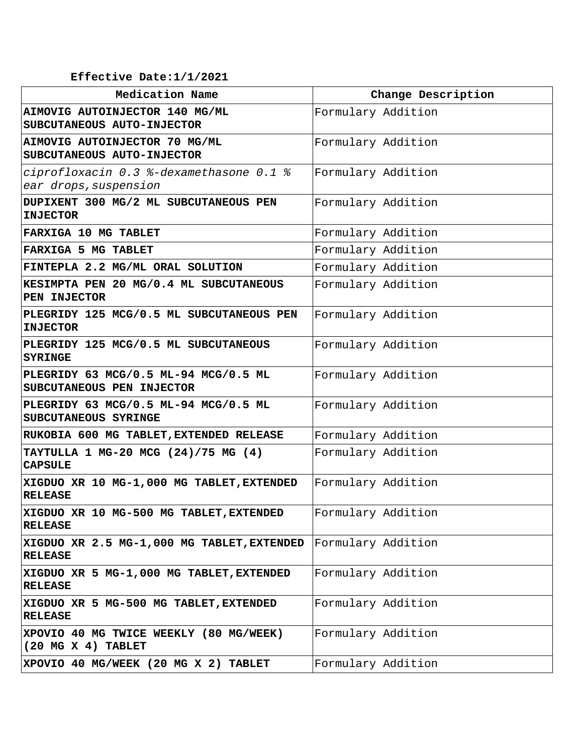**Effective Date:1/1/2021**

| Medication Name                                                   | Change Description |
|-------------------------------------------------------------------|--------------------|
| AIMOVIG AUTOINJECTOR 140 MG/ML<br>SUBCUTANEOUS AUTO-INJECTOR      | Formulary Addition |
| AIMOVIG AUTOINJECTOR 70 MG/ML<br>SUBCUTANEOUS AUTO-INJECTOR       | Formulary Addition |
| ciprofloxacin 0.3 %-dexamethasone 0.1 %<br>ear drops, suspension  | Formulary Addition |
| DUPIXENT 300 MG/2 ML SUBCUTANEOUS PEN<br><b>INJECTOR</b>          | Formulary Addition |
| <b>FARXIGA 10 MG TABLET</b>                                       | Formulary Addition |
| <b>FARXIGA 5 MG TABLET</b>                                        | Formulary Addition |
| FINTEPLA 2.2 MG/ML ORAL SOLUTION                                  | Formulary Addition |
| KESIMPTA PEN 20 MG/0.4 ML SUBCUTANEOUS<br><b>PEN INJECTOR</b>     | Formulary Addition |
| PLEGRIDY 125 MCG/0.5 ML SUBCUTANEOUS PEN<br><b>INJECTOR</b>       | Formulary Addition |
| PLEGRIDY 125 MCG/0.5 ML SUBCUTANEOUS<br><b>SYRINGE</b>            | Formulary Addition |
| PLEGRIDY 63 MCG/0.5 ML-94 MCG/0.5 ML<br>SUBCUTANEOUS PEN INJECTOR | Formulary Addition |
| PLEGRIDY 63 MCG/0.5 ML-94 MCG/0.5 ML<br>SUBCUTANEOUS SYRINGE      | Formulary Addition |
| RUKOBIA 600 MG TABLET, EXTENDED RELEASE                           | Formulary Addition |
| TAYTULLA 1 MG-20 MCG (24)/75 MG (4)<br><b>CAPSULE</b>             | Formulary Addition |
| XIGDUO XR 10 MG-1,000 MG TABLET, EXTENDED<br><b>RELEASE</b>       | Formulary Addition |
| XIGDUO XR 10 MG-500 MG TABLET, EXTENDED<br><b>RELEASE</b>         | Formulary Addition |
| XIGDUO XR 2.5 MG-1,000 MG TABLET, EXTENDED<br><b>RELEASE</b>      | Formulary Addition |
| XIGDUO XR 5 MG-1,000 MG TABLET, EXTENDED<br><b>RELEASE</b>        | Formulary Addition |
| XIGDUO XR 5 MG-500 MG TABLET, EXTENDED<br><b>RELEASE</b>          | Formulary Addition |
| XPOVIO 40 MG TWICE WEEKLY (80 MG/WEEK)<br>$(20 \tMG X 4)$ TABLET  | Formulary Addition |
| XPOVIO 40 MG/WEEK (20 MG X 2) TABLET                              | Formulary Addition |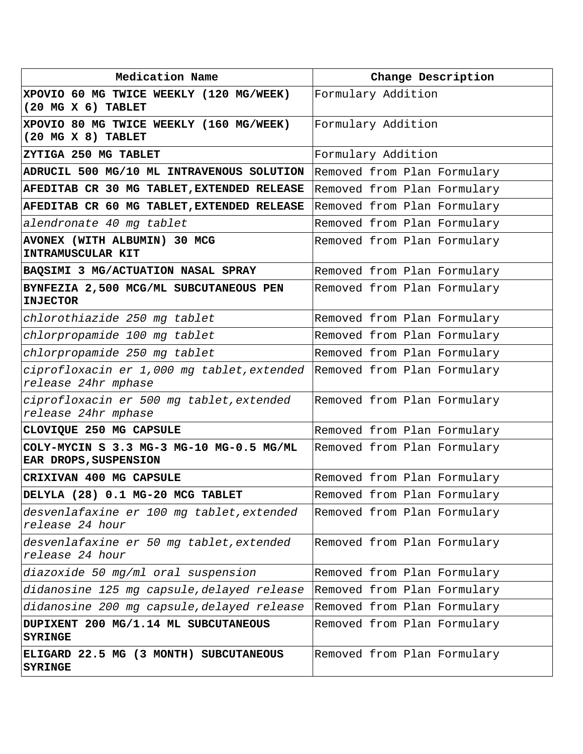| Medication Name                                                   | Change Description          |
|-------------------------------------------------------------------|-----------------------------|
| XPOVIO 60 MG TWICE WEEKLY (120 MG/WEEK)<br>$(20$ MG X $6)$ TABLET | Formulary Addition          |
| XPOVIO 80 MG TWICE WEEKLY (160 MG/WEEK)<br>$(20$ MG X 8) TABLET   | Formulary Addition          |
| ZYTIGA 250 MG TABLET                                              | Formulary Addition          |
| ADRUCIL 500 MG/10 ML INTRAVENOUS SOLUTION                         | Removed from Plan Formulary |
| AFEDITAB CR 30 MG TABLET, EXTENDED RELEASE                        | Removed from Plan Formulary |
| AFEDITAB CR 60 MG TABLET, EXTENDED RELEASE                        | Removed from Plan Formulary |
| alendronate 40 mg tablet                                          | Removed from Plan Formulary |
| AVONEX (WITH ALBUMIN) 30 MCG<br>INTRAMUSCULAR KIT                 | Removed from Plan Formulary |
| BAQSIMI 3 MG/ACTUATION NASAL SPRAY                                | Removed from Plan Formulary |
| BYNFEZIA 2,500 MCG/ML SUBCUTANEOUS PEN<br><b>INJECTOR</b>         | Removed from Plan Formulary |
| chlorothiazide 250 mg tablet                                      | Removed from Plan Formulary |
| chlorpropamide 100 mg tablet                                      | Removed from Plan Formulary |
| chlorpropamide 250 mg tablet                                      | Removed from Plan Formulary |
| ciprofloxacin er 1,000 mg tablet, extended<br>release 24hr mphase | Removed from Plan Formulary |
| ciprofloxacin er 500 mg tablet, extended<br>release 24hr mphase   | Removed from Plan Formulary |
| CLOVIQUE 250 MG CAPSULE                                           | Removed from Plan Formulary |
| COLY-MYCIN S 3.3 MG-3 MG-10 MG-0.5 MG/ML<br>EAR DROPS, SUSPENSION | Removed from Plan Formulary |
| CRIXIVAN 400 MG CAPSULE                                           | Removed from Plan Formulary |
| DELYLA (28) 0.1 MG-20 MCG TABLET                                  | Removed from Plan Formulary |
| desvenlafaxine er 100 mg tablet, extended<br>release 24 hour      | Removed from Plan Formulary |
| desvenlafaxine er 50 mg tablet, extended<br>release 24 hour       | Removed from Plan Formulary |
| diazoxide 50 mg/ml oral suspension                                | Removed from Plan Formulary |
| didanosine 125 mg capsule, delayed release                        | Removed from Plan Formulary |
| didanosine 200 mg capsule, delayed release                        | Removed from Plan Formulary |
| DUPIXENT 200 MG/1.14 ML SUBCUTANEOUS<br><b>SYRINGE</b>            | Removed from Plan Formulary |
| ELIGARD 22.5 MG (3 MONTH) SUBCUTANEOUS<br><b>SYRINGE</b>          | Removed from Plan Formulary |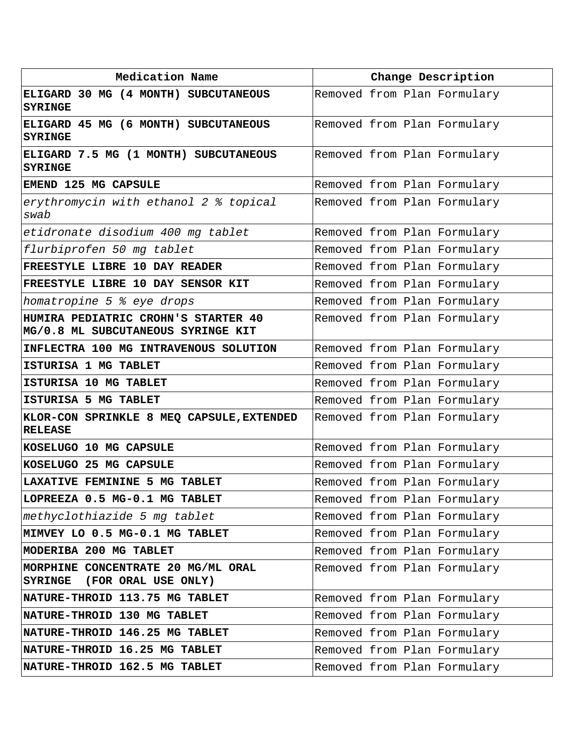| Medication Name                                                             | Change Description          |
|-----------------------------------------------------------------------------|-----------------------------|
| ELIGARD 30 MG (4 MONTH) SUBCUTANEOUS<br><b>SYRINGE</b>                      | Removed from Plan Formulary |
| ELIGARD 45 MG (6 MONTH) SUBCUTANEOUS<br><b>SYRINGE</b>                      | Removed from Plan Formulary |
| ELIGARD 7.5 MG (1 MONTH) SUBCUTANEOUS<br><b>SYRINGE</b>                     | Removed from Plan Formulary |
| EMEND 125 MG CAPSULE                                                        | Removed from Plan Formulary |
| erythromycin with ethanol 2 % topical<br>swab                               | Removed from Plan Formulary |
| etidronate disodium 400 mg tablet                                           | Removed from Plan Formulary |
| flurbiprofen 50 mg tablet                                                   | Removed from Plan Formulary |
| FREESTYLE LIBRE 10 DAY READER                                               | Removed from Plan Formulary |
| FREESTYLE LIBRE 10 DAY SENSOR KIT                                           | Removed from Plan Formulary |
| homatropine 5 % eye drops                                                   | Removed from Plan Formulary |
| HUMIRA PEDIATRIC CROHN'S STARTER 40<br>MG/0.8 ML SUBCUTANEOUS SYRINGE KIT   | Removed from Plan Formulary |
| INFLECTRA 100 MG INTRAVENOUS SOLUTION                                       | Removed from Plan Formulary |
| ISTURISA 1 MG TABLET                                                        | Removed from Plan Formulary |
| ISTURISA 10 MG TABLET                                                       | Removed from Plan Formulary |
| ISTURISA 5 MG TABLET                                                        | Removed from Plan Formulary |
| KLOR-CON SPRINKLE 8 MEQ CAPSULE, EXTENDED<br><b>RELEASE</b>                 | Removed from Plan Formulary |
| KOSELUGO 10 MG CAPSULE                                                      | Removed from Plan Formulary |
| KOSELUGO 25 MG CAPSULE                                                      | Removed from Plan Formulary |
| LAXATIVE FEMININE 5 MG TABLET                                               | Removed from Plan Formulary |
| LOPREEZA 0.5 MG-0.1 MG TABLET                                               | Removed from Plan Formulary |
| methyclothiazide 5 mg tablet                                                | Removed from Plan Formulary |
| MIMVEY LO 0.5 MG-0.1 MG TABLET                                              | Removed from Plan Formulary |
| MODERIBA 200 MG TABLET                                                      | Removed from Plan Formulary |
| MORPHINE CONCENTRATE 20 MG/ML ORAL<br>(FOR ORAL USE ONLY)<br><b>SYRINGE</b> | Removed from Plan Formulary |
| NATURE-THROID 113.75 MG TABLET                                              | Removed from Plan Formulary |
| NATURE-THROID 130 MG TABLET                                                 | Removed from Plan Formulary |
| NATURE-THROID 146.25 MG TABLET                                              | Removed from Plan Formulary |
| NATURE-THROID 16.25 MG TABLET                                               | Removed from Plan Formulary |
| NATURE-THROID 162.5 MG TABLET                                               | Removed from Plan Formulary |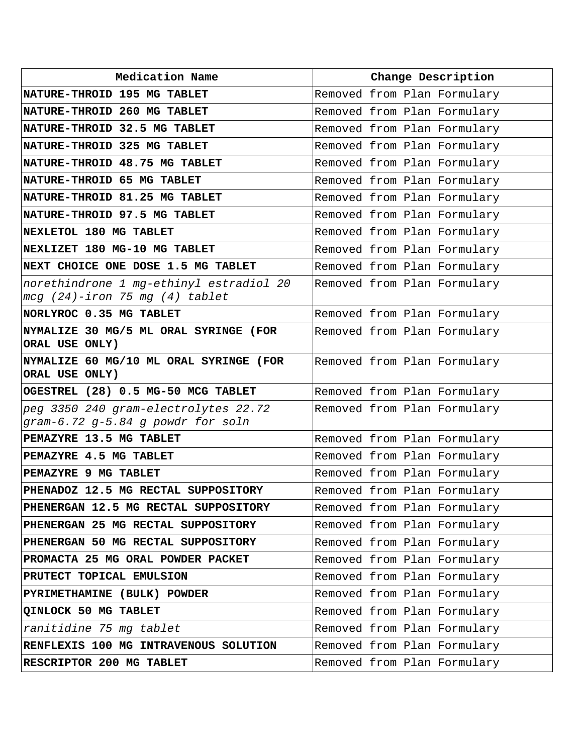| Medication Name                                                             | Change Description          |
|-----------------------------------------------------------------------------|-----------------------------|
| NATURE-THROID 195 MG TABLET                                                 | Removed from Plan Formulary |
| NATURE-THROID 260 MG TABLET                                                 | Removed from Plan Formulary |
| NATURE-THROID 32.5 MG TABLET                                                | Removed from Plan Formulary |
| NATURE-THROID 325 MG TABLET                                                 | Removed from Plan Formulary |
| NATURE-THROID 48.75 MG TABLET                                               | Removed from Plan Formulary |
| NATURE-THROID 65 MG TABLET                                                  | Removed from Plan Formulary |
| NATURE-THROID 81.25 MG TABLET                                               | Removed from Plan Formulary |
| NATURE-THROID 97.5 MG TABLET                                                | Removed from Plan Formulary |
| NEXLETOL 180 MG TABLET                                                      | Removed from Plan Formulary |
| NEXLIZET 180 MG-10 MG TABLET                                                | Removed from Plan Formulary |
| NEXT CHOICE ONE DOSE 1.5 MG TABLET                                          | Removed from Plan Formulary |
| norethindrone 1 mg-ethinyl estradiol 20<br>$mcq$ (24)-iron 75 mg (4) tablet | Removed from Plan Formulary |
| NORLYROC 0.35 MG TABLET                                                     | Removed from Plan Formulary |
| NYMALIZE 30 MG/5 ML ORAL SYRINGE (FOR<br>ORAL USE ONLY)                     | Removed from Plan Formulary |
| NYMALIZE 60 MG/10 ML ORAL SYRINGE (FOR<br>ORAL USE ONLY)                    | Removed from Plan Formulary |
| OGESTREL (28) 0.5 MG-50 MCG TABLET                                          | Removed from Plan Formulary |
| peg 3350 240 gram-electrolytes 22.72<br>gram-6.72 g-5.84 g powdr for soln   | Removed from Plan Formulary |
| PEMAZYRE 13.5 MG TABLET                                                     | Removed from Plan Formulary |
| PEMAZYRE 4.5 MG TABLET                                                      | Removed from Plan Formulary |
| PEMAZYRE 9 MG TABLET                                                        | Removed from Plan Formulary |
| PHENADOZ 12.5 MG RECTAL SUPPOSITORY                                         | Removed from Plan Formulary |
| PHENERGAN 12.5 MG RECTAL SUPPOSITORY                                        | Removed from Plan Formulary |
| PHENERGAN 25 MG RECTAL SUPPOSITORY                                          | Removed from Plan Formulary |
| PHENERGAN 50 MG RECTAL SUPPOSITORY                                          | Removed from Plan Formulary |
| PROMACTA 25 MG ORAL POWDER PACKET                                           | Removed from Plan Formulary |
| PRUTECT TOPICAL EMULSION                                                    | Removed from Plan Formulary |
| PYRIMETHAMINE (BULK) POWDER                                                 | Removed from Plan Formulary |
| QINLOCK 50 MG TABLET                                                        | Removed from Plan Formulary |
| ranitidine 75 mg tablet                                                     | Removed from Plan Formulary |
| RENFLEXIS 100 MG INTRAVENOUS SOLUTION                                       | Removed from Plan Formulary |
| RESCRIPTOR 200 MG TABLET                                                    | Removed from Plan Formulary |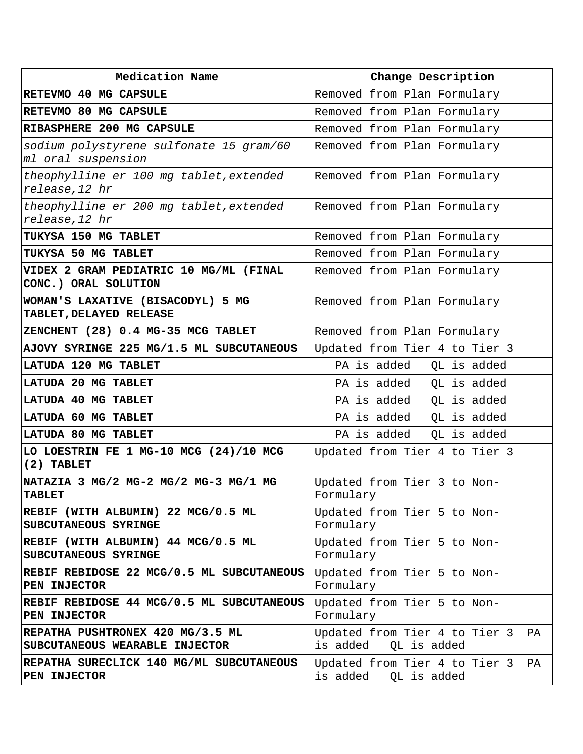| Medication Name                                                    | Change Description                                             |
|--------------------------------------------------------------------|----------------------------------------------------------------|
| RETEVMO 40 MG CAPSULE                                              | Removed from Plan Formulary                                    |
| RETEVMO 80 MG CAPSULE                                              | Removed from Plan Formulary                                    |
| RIBASPHERE 200 MG CAPSULE                                          | Removed from Plan Formulary                                    |
| sodium polystyrene sulfonate 15 gram/60<br>ml oral suspension      | Removed from Plan Formulary                                    |
| theophylline er 100 mg tablet, extended<br>release, 12 hr          | Removed from Plan Formulary                                    |
| theophylline er 200 mg tablet, extended<br>release, 12 hr          | Removed from Plan Formulary                                    |
| TUKYSA 150 MG TABLET                                               | Removed from Plan Formulary                                    |
| TUKYSA 50 MG TABLET                                                | Removed from Plan Formulary                                    |
| VIDEX 2 GRAM PEDIATRIC 10 MG/ML (FINAL<br>CONC.) ORAL SOLUTION     | Removed from Plan Formulary                                    |
| WOMAN'S LAXATIVE (BISACODYL) 5 MG<br>TABLET, DELAYED RELEASE       | Removed from Plan Formulary                                    |
| ZENCHENT (28) 0.4 MG-35 MCG TABLET                                 | Removed from Plan Formulary                                    |
| AJOVY SYRINGE 225 MG/1.5 ML SUBCUTANEOUS                           | Updated from Tier 4 to Tier 3                                  |
| LATUDA 120 MG TABLET                                               | PA is added<br>OL is added                                     |
| LATUDA 20 MG TABLET                                                | PA is added<br>QL is added                                     |
| LATUDA 40 MG TABLET                                                | QL is added<br>PA is added                                     |
| LATUDA 60 MG TABLET                                                | PA is added<br>QL is added                                     |
| LATUDA 80 MG TABLET                                                | PA is added<br>QL is added                                     |
| LO LOESTRIN FE 1 MG-10 MCG (24)/10 MCG<br>$(2)$ TABLET             | Updated from Tier 4 to Tier 3                                  |
| NATAZIA 3 MG/2 MG-2 MG/2 MG-3 MG/1 MG<br><b>TABLET</b>             | Updated from Tier 3 to Non-<br>Formulary                       |
| REBIF (WITH ALBUMIN) 22 MCG/0.5 ML<br>SUBCUTANEOUS SYRINGE         | Updated from Tier 5 to Non-<br>Formulary                       |
| REBIF (WITH ALBUMIN) 44 MCG/0.5 ML<br>SUBCUTANEOUS SYRINGE         | Updated from Tier 5 to Non-<br>Formulary                       |
| REBIF REBIDOSE 22 MCG/0.5 ML SUBCUTANEOUS<br>PEN INJECTOR          | Updated from Tier 5 to Non-<br>Formulary                       |
| REBIF REBIDOSE 44 MCG/0.5 ML SUBCUTANEOUS<br>PEN INJECTOR          | Updated from Tier 5 to Non-<br>Formulary                       |
| REPATHA PUSHTRONEX 420 MG/3.5 ML<br>SUBCUTANEOUS WEARABLE INJECTOR | Updated from Tier 4 to Tier 3<br>PA<br>is added<br>QL is added |
| REPATHA SURECLICK 140 MG/ML SUBCUTANEOUS<br>PEN INJECTOR           | Updated from Tier 4 to Tier 3<br>PA<br>is added<br>QL is added |